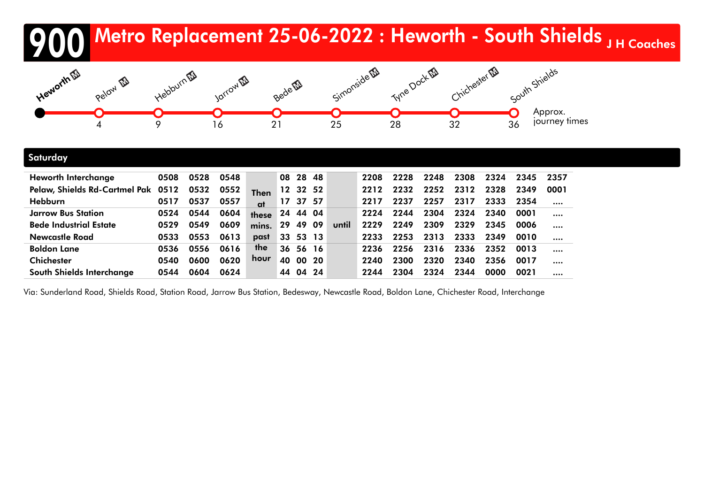### Metro Replacement 25-06-2022 : Heworth - South Shields J H Coaches



### **Saturday**

| <b>Heworth Interchange</b>         | 0508 | 0528 | 0548 |              |    | 08 28 48 |       |       | 2208 | 2228 | 2248 | 2308 | 2324 | 2345 | 2357     |  |
|------------------------------------|------|------|------|--------------|----|----------|-------|-------|------|------|------|------|------|------|----------|--|
| Pelaw, Shields Rd-Cartmel Pak 0512 |      | 0532 | 0552 | <b>Then</b>  |    | 12 32 52 |       |       | 2212 | 2232 | 2252 | 2312 | 2328 | 2349 | 0001     |  |
| <b>Hebburn</b>                     | 0517 | 0537 | 0557 | $\mathbf{a}$ |    | 17 37 57 |       |       | 2217 | 2237 | 2257 | 2317 | 2333 | 2354 | $\cdots$ |  |
| <b>Jarrow Bus Station</b>          | 0524 | 0544 | 0604 | these        |    | 24 44 04 |       |       | 2224 | 2244 | 2304 | 2324 | 2340 | 0001 |          |  |
| <b>Bede Industrial Estate</b>      | 0529 | 0549 | 0609 | mins.        |    | 29 49 09 |       | until | 2229 | 2249 | 2309 | 2329 | 2345 | 0006 |          |  |
| Newcastle Road                     | 0533 | 0553 | 0613 | past         | 33 | 53 13    |       |       | 2233 | 2253 | 2313 | 2333 | 2349 | 0010 |          |  |
| <b>Boldon Lane</b>                 | 0536 | 0556 | 0616 | <b>the</b>   | 36 | 56 16    |       |       | 2236 | 2256 | 2316 | 2336 | 2352 | 0013 |          |  |
| Chichester                         | 0540 | 0600 | 0620 | hour         | 40 |          | 00 20 |       | 2240 | 2300 | 2320 | 2340 | 2356 | 0017 |          |  |
| South Shields Interchange          | 0544 | 0604 | 0624 |              | 44 | 04 24    |       |       | 2244 | 2304 | 2324 | 2344 | 0000 | 0021 |          |  |
|                                    |      |      |      |              |    |          |       |       |      |      |      |      |      |      |          |  |

Via: Sunderland Road, Shields Road, Station Road, Jarrow Bus Station, Bedesway, Newcastle Road, Boldon Lane, Chichester Road, Interchange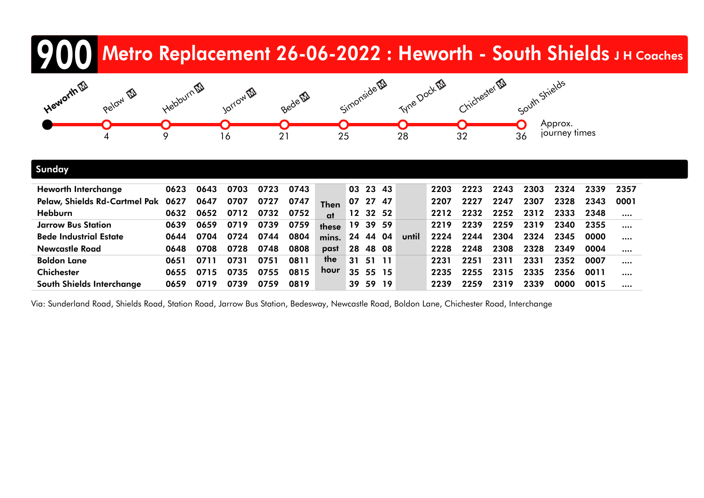# 900 Metro Replacement 26-06-2022 : Heworth - South Shields J H Coaches



#### **Sunday**

| <b>Heworth Interchange</b>    | 0623 | 0643 | 0703 | 0723 | 0743 |              |                 | 03 23 43 |          |       | 2203 | 2223 | 2243 | 2303 | 2324 | 2339 | - 2357   |
|-------------------------------|------|------|------|------|------|--------------|-----------------|----------|----------|-------|------|------|------|------|------|------|----------|
| Pelaw, Shields Rd-Cartmel Pak | 0627 | 0647 | 0707 | 0727 | 0747 | Then         | 07              | 27 47    |          |       | 2207 | 2227 | 2247 | 2307 | 2328 | 2343 | 0001     |
| <b>Hebburn</b>                | 0632 | 0652 | 0712 | 0732 | 0752 | $\mathbf{a}$ |                 | 12 32 52 |          |       | 2212 | 2232 | 2252 | 2312 | 2333 | 2348 |          |
| Jarrow Bus Station            | 0639 | 0659 | 0719 | 0739 | 0759 | these        |                 |          | 19 39 59 |       | 2219 | 2239 | 2259 | 2319 | 2340 | 2355 |          |
| <b>Bede Industrial Estate</b> | 0644 | 0704 | 0724 | 0744 | 0804 | mins.        |                 |          | 24 44 04 | until | 2224 | 2244 | 2304 | 2324 | 2345 | 0000 |          |
| Newcastle Road                | 0648 | 0708 | 0728 | 0748 | 0808 | past         | 28              | 48 08    |          |       | 2228 | 2248 | 2308 | 2328 | 2349 | 0004 | $\cdots$ |
| <b>Boldon Lane</b>            | 0651 | 0711 | 0731 | 0751 | 0811 | the          | 31              | 51 11    |          |       | 2231 | 2251 | 2311 | 2331 | 2352 | 0007 |          |
| <b>Chichester</b>             | 0655 | 0715 | 0735 | 0755 | 0815 | hour         | 35 <sub>1</sub> | 55 15    |          |       | 2235 | 2255 | 2315 | 2335 | 2356 | 0011 |          |
| South Shields Interchange     | 0659 | 0719 | 0739 | 0759 | 0819 |              |                 | 39 59    | - 19     |       | 2239 | 2259 | 2319 | 2339 | 0000 | 0015 |          |

Via: Sunderland Road, Shields Road, Station Road, Jarrow Bus Station, Bedesway, Newcastle Road, Boldon Lane, Chichester Road, Interchange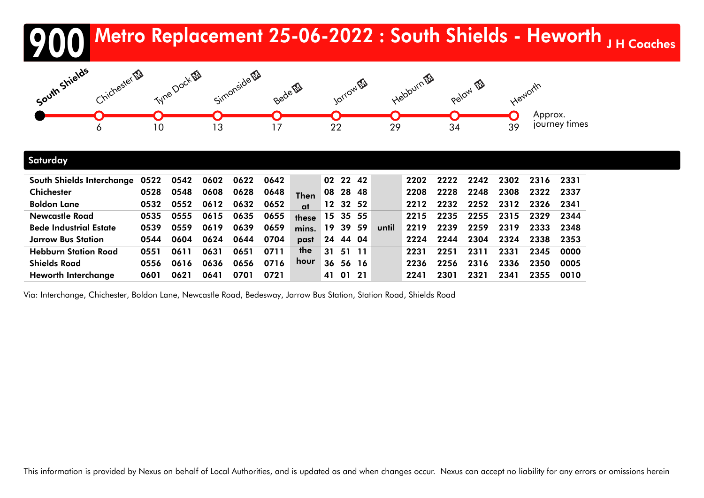## Metro Replacement 25-06-2022 : South Shields - Heworth JH Coaches



### **Saturday**

| South Shields Interchange 0522 0542 0602 0622 0642 |      |      |      |      |      |                |          | 02 22 42 |       | 2202 | 2222 | 2242 | 2302 | 2316 | 2331   |
|----------------------------------------------------|------|------|------|------|------|----------------|----------|----------|-------|------|------|------|------|------|--------|
| <b>Chichester</b>                                  | 0528 | 0548 | 0608 | 0628 | 0648 | <b>Then</b>    |          | 08 28 48 |       | 2208 | 2228 | 2248 | 2308 | 2322 | - 2337 |
| <b>Boldon Lane</b>                                 | 0532 | 0552 | 0612 | 0632 | 0652 | nt             |          | 12 32 52 |       | 2212 | 2232 | 2252 | 2312 | 2326 | 2341   |
| Newcastle Road                                     | 0535 | 0555 | 0615 | 0635 | 0655 | these          | 15 35 55 |          |       | 2215 | 2235 | 2255 | 2315 | 2329 | -2344  |
| <b>Bede Industrial Estate</b>                      | 0539 | 0559 | 0619 | 0639 | 0659 | mins. 19 39 59 |          |          | until | 2219 | 2239 | 2259 | 2319 | 2333 | 2348   |
| <b>Jarrow Bus Station</b>                          | 0544 | 0604 | 0624 | 0644 | 0704 | past           | 24 44 04 |          |       | 2224 | 2244 | 2304 | 2324 | 2338 | 2353   |
| <b>Hebburn Station Road</b>                        | 0551 | 0611 | 0631 | 0651 | 0711 | the            |          | 31 51 11 |       | 2231 | 2251 | 2311 | 2331 | 2345 | 0000   |
| <b>Shields Road</b>                                | 0556 | 0616 | 0636 | 0656 | 0716 | hour           | 36       | 56 16    |       | 2236 | 2256 | 2316 | 2336 | 2350 | 0005   |
| Heworth Interchange                                | 0601 | 0621 | 0641 | 0701 | 0721 |                | 41 01 21 |          |       | 2241 | 2301 | 2321 | 2341 | 2355 | 0010   |

Via: Interchange, Chichester, Boldon Lane, Newcastle Road, Bedesway, Jarrow Bus Station, Station Road, Shields Road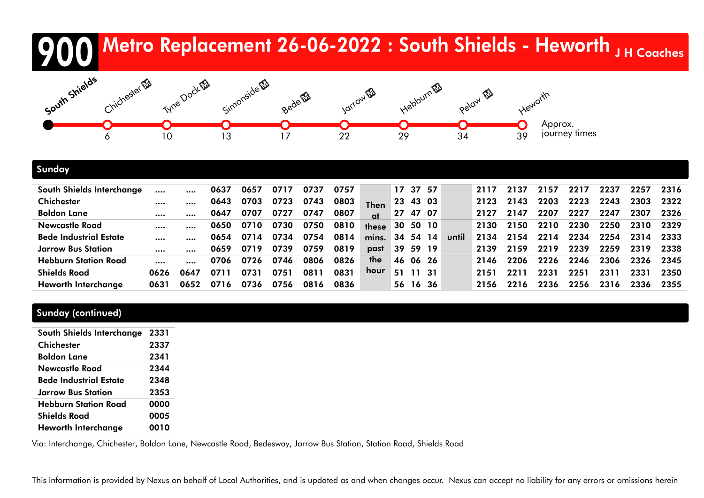# 900 Metro Replacement 26-06-2022 : South Shields - Heworth <sub>J H Coaches</sub>



### Sunday

| South Shields Interchange     |          |      | 0637 | 0657           | 0717 | 0737 | 0757      |                        | 17 37 57 |       | 2117 | 2137 | 2157 | 2217 | 2237 | 2257      | 2316   |
|-------------------------------|----------|------|------|----------------|------|------|-----------|------------------------|----------|-------|------|------|------|------|------|-----------|--------|
| <b>Chichester</b>             | $\cdots$ |      | 0643 | 0703           | 0723 | 0743 | 0803      | Then $23\;43\;03$      |          |       | 2123 | 2143 | 2203 | 2223 | 2243 | 2303      | 2322   |
| <b>Boldon Lane</b>            |          |      | 0647 | 0707           | 0727 | 0747 | 0807      | $\mathbf{a}^{\dagger}$ | 27 47 07 |       | 2127 | 2147 | 2207 | 2227 | 2247 | 2307      | - 2326 |
| Newcastle Road                |          |      |      | 0650 0710 0730 |      | 0750 | 0810      | these                  | 30 50 10 |       | 2130 | 2150 | 2210 | 2230 | 2250 | 2310      | 2329   |
| <b>Bede Industrial Estate</b> |          |      |      | 0654 0714 0734 |      |      | 0754 0814 | mins. 34 54 14         |          | until | 2134 | 2154 | 2214 | 2234 | 2254 | 2314 2333 |        |
| Jarrow Bus Station            |          |      | 0659 | 0719           | 0739 | 0759 | 0819      | past                   | 39 59 19 |       | 2139 | 2159 | 2219 | 2239 | 2259 | 2319 2338 |        |
| <b>Hebburn Station Road</b>   |          |      | 0706 | 0726           | 0746 | 0806 | 0826      | the                    | 46 06 26 |       | 2146 | 2206 | 2226 | 2246 | 2306 | 2326      | 2345   |
| <b>Shields Road</b>           | 0626     | 0647 | 0711 | 0731           | 0751 | 0811 | 0831      | hour                   | 51 11 31 |       | 2151 | 2211 | 2231 | 2251 | 2311 | 2331      | 2350   |
| <b>Heworth Interchange</b>    | 0631     | 0652 | 0716 | 0736           | 0756 | 0816 | 0836      |                        | 56 16 36 |       | 2156 | 2216 | 2236 | 2256 | 2316 | 2336      | 2355   |
|                               |          |      |      |                |      |      |           |                        |          |       |      |      |      |      |      |           |        |

### Sunday (continued)

| South Shields Interchange     | 2331 |
|-------------------------------|------|
| <b>Chichester</b>             | 2337 |
| <b>Boldon Lane</b>            | 2341 |
| Newcastle Road                | 2344 |
| <b>Bede Industrial Estate</b> | 2348 |
| <b>Jarrow Bus Station</b>     | 2353 |
| Hebburn Station Road          | 0000 |
| Shields Road                  | 0005 |
| <b>Heworth Interchange</b>    | 0010 |

Via: Interchange, Chichester, Boldon Lane, Newcastle Road, Bedesway, Jarrow Bus Station, Station Road, Shields Road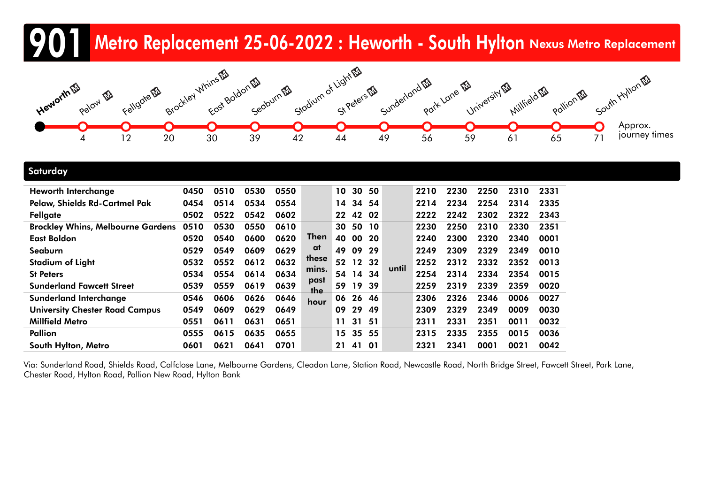## 901 Metro Replacement 25-06-2022 : Heworth - South Hylton Nexus Metro Replacement



### **Saturday**

| Heworth Interchange                      | 0450 | 0510 | 0530 | 0550 |               | 10      | 30               | 50    |       | 2210 | 2230 | 2250 | 2310 | 2331 |
|------------------------------------------|------|------|------|------|---------------|---------|------------------|-------|-------|------|------|------|------|------|
| Pelaw, Shields Rd-Cartmel Pak            | 0454 | 0514 | 0534 | 0554 |               | 14      |                  | 34 54 |       | 2214 | 2234 | 2254 | 2314 | 2335 |
| Fellgate                                 | 0502 | 0522 | 0542 | 0602 |               | $22 \,$ | 42               | 02    |       | 2222 | 2242 | 2302 | 2322 | 2343 |
| <b>Brockley Whins, Melbourne Gardens</b> | 0510 | 0530 | 0550 | 0610 |               | 30      | 50 10            |       |       | 2230 | 2250 | 2310 | 2330 | 2351 |
| East Boldon                              | 0520 | 0540 | 0600 | 0620 | <b>Then</b>   | 40      | 00               | -20   |       | 2240 | 2300 | 2320 | 2340 | 0001 |
| Seaburn                                  | 0529 | 0549 | 0609 | 0629 | at            | 49      | 09               | -29   |       | 2249 | 2309 | 2329 | 2349 | 0010 |
| <b>Stadium of Light</b>                  | 0532 | 0552 | 0612 | 0632 | these         | 52      | 12 <sup>12</sup> | 32    | until | 2252 | 2312 | 2332 | 2352 | 0013 |
| <b>St Peters</b>                         | 0534 | 0554 | 0614 | 0634 | mins.<br>past | 54      |                  | 14 34 |       | 2254 | 2314 | 2334 | 2354 | 0015 |
| <b>Sunderland Fawcett Street</b>         | 0539 | 0559 | 0619 | 0639 | the           | 59      | 19 39            |       |       | 2259 | 2319 | 2339 | 2359 | 0020 |
| Sunderland Interchange                   | 0546 | 0606 | 0626 | 0646 | hour          | 06      | 26 46            |       |       | 2306 | 2326 | 2346 | 0006 | 0027 |
| <b>University Chester Road Campus</b>    | 0549 | 0609 | 0629 | 0649 |               | 09      | 29               | 49    |       | 2309 | 2329 | 2349 | 0009 | 0030 |
| <b>Millfield Metro</b>                   | 0551 | 0611 | 0631 | 0651 |               | 11      | 31 51            |       |       | 2311 | 2331 | 2351 | 0011 | 0032 |
| Pallion                                  | 0555 | 0615 | 0635 | 0655 |               | 15      | 35 55            |       |       | 2315 | 2335 | 2355 | 0015 | 0036 |
| South Hylton, Metro                      | 0601 | 0621 | 0641 | 0701 |               | 21      | 41 01            |       |       | 2321 | 2341 | 0001 | 0021 | 0042 |

Via: Sunderland Road, Shields Road, Calfclose Lane, Melbourne Gardens, Cleadon Lane, Station Road, Newcastle Road, North Bridge Street, Fawcett Street, Park Lane, Chester Road, Hylton Road, Pallion New Road, Hylton Bank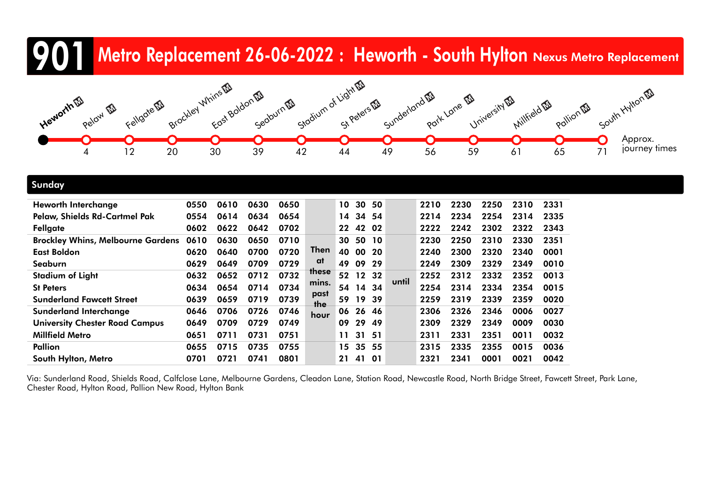## 901 Metro Replacement 26-06-2022 : Heworth - South Hylton Nexus Metro Replacement



### **Sunday**

| Heworth Interchange                      | 0550 | 0610 | 0630 | 0650 |             | 10 | 30      | 50        |       | 2210 | 2230 | 2250 | 2310 | 2331 |
|------------------------------------------|------|------|------|------|-------------|----|---------|-----------|-------|------|------|------|------|------|
| Pelaw, Shields Rd-Cartmel Pak            | 0554 | 0614 | 0634 | 0654 |             | 14 | 34 54   |           |       | 2214 | 2234 | 2254 | 2314 | 2335 |
| Fellgate                                 | 0602 | 0622 | 0642 | 0702 |             | 22 | 42      | 02        |       | 2222 | 2242 | 2302 | 2322 | 2343 |
| <b>Brockley Whins, Melbourne Gardens</b> | 0610 | 0630 | 0650 | 0710 |             | 30 | 50      | <b>10</b> |       | 2230 | 2250 | 2310 | 2330 | 2351 |
| East Boldon                              | 0620 | 0640 | 0700 | 0720 | Then        | 40 | 00 20   |           |       | 2240 | 2300 | 2320 | 2340 | 0001 |
| Seaburn                                  | 0629 | 0649 | 0709 | 0729 | at          | 49 | 09      | -29       |       | 2249 | 2309 | 2329 | 2349 | 0010 |
| <b>Stadium of Light</b>                  | 0632 | 0652 | 0712 | 0732 | these       | 52 | $12 \,$ | 32        | until | 2252 | 2312 | 2332 | 2352 | 0013 |
| <b>St Peters</b>                         | 0634 | 0654 | 0714 | 0734 | mins.       | 54 | 14 34   |           |       | 2254 | 2314 | 2334 | 2354 | 0015 |
| <b>Sunderland Fawcett Street</b>         | 0639 | 0659 | 0719 | 0739 | past<br>the | 59 | 19 39   |           |       | 2259 | 2319 | 2339 | 2359 | 0020 |
| Sunderland Interchange                   | 0646 | 0706 | 0726 | 0746 | hour        | 06 | 26 46   |           |       | 2306 | 2326 | 2346 | 0006 | 0027 |
| <b>University Chester Road Campus</b>    | 0649 | 0709 | 0729 | 0749 |             | 09 | 29      | 49        |       | 2309 | 2329 | 2349 | 0009 | 0030 |
| <b>Millfield Metro</b>                   | 0651 | 0711 | 0731 | 0751 |             | 11 | 31 51   |           |       | 2311 | 2331 | 2351 | 0011 | 0032 |
| Pallion                                  | 0655 | 0715 | 0735 | 0755 |             | 15 | 35 55   |           |       | 2315 | 2335 | 2355 | 0015 | 0036 |
| South Hylton, Metro                      | 0701 | 0721 | 0741 | 0801 |             | 21 | 41      | O1        |       | 2321 | 2341 | 0001 | 0021 | 0042 |
|                                          |      |      |      |      |             |    |         |           |       |      |      |      |      |      |

Via: Sunderland Road, Shields Road, Calfclose Lane, Melbourne Gardens, Cleadon Lane, Station Road, Newcastle Road, North Bridge Street, Fawcett Street, Park Lane, Chester Road, Hylton Road, Pallion New Road, Hylton Bank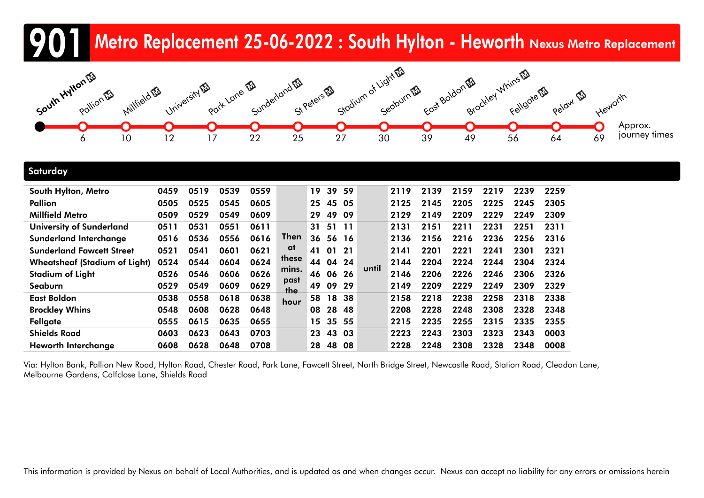## Metro Replacement 25-06-2022 : South Hylton - Heworth Nexus Metro Replacement



### **Saturday**

| South Hylton, Metro                  | 0459 | 0519 | 0539 | 0559 |             | 19 | 39    | -59 |       | 2119 | 2139 | 2159 | 2219 | 2239 | 2259 |
|--------------------------------------|------|------|------|------|-------------|----|-------|-----|-------|------|------|------|------|------|------|
| Pallion                              | 0505 | 0525 | 0545 | 0605 |             | 25 | 45    | 05  |       | 2125 | 2145 | 2205 | 2225 | 2245 | 2305 |
| <b>Millfield Metro</b>               | 0509 | 0529 | 0549 | 0609 |             | 29 | 49    | 09  |       | 2129 | 2149 | 2209 | 2229 | 2249 | 2309 |
| <b>University of Sunderland</b>      | 0511 | 0531 | 0551 | 0611 |             | 31 | 51    | -11 |       | 2131 | 2151 | 2211 | 2231 | 2251 | 2311 |
| Sunderland Interchange               | 0516 | 0536 | 0556 | 0616 | Then        | 36 | 56    | 16  |       | 2136 | 2156 | 2216 | 2236 | 2256 | 2316 |
| <b>Sunderland Fawcett Street</b>     | 0521 | 0541 | 0601 | 0621 | at          | 41 | 01    | 21  |       | 2141 | 2201 | 2221 | 2241 | 2301 | 2321 |
| <b>Wheatsheaf (Stadium of Light)</b> | 0524 | 0544 | 0604 | 0624 | these       | 44 | 04 24 |     | until | 2144 | 2204 | 2224 | 2244 | 2304 | 2324 |
| <b>Stadium of Light</b>              | 0526 | 0546 | 0606 | 0626 | mins.       | 46 | 06 26 |     |       | 2146 | 2206 | 2226 | 2246 | 2306 | 2326 |
| Seaburn                              | 0529 | 0549 | 0609 | 0629 | past<br>the | 49 | 09 29 |     |       | 2149 | 2209 | 2229 | 2249 | 2309 | 2329 |
| East Boldon                          | 0538 | 0558 | 0618 | 0638 | hour        | 58 | 18    | -38 |       | 2158 | 2218 | 2238 | 2258 | 2318 | 2338 |
| <b>Brockley Whins</b>                | 0548 | 0608 | 0628 | 0648 |             | 08 | 28    | -48 |       | 2208 | 2228 | 2248 | 2308 | 2328 | 2348 |
| Fellgate                             | 0555 | 0615 | 0635 | 0655 |             | 15 | 35 55 |     |       | 2215 | 2235 | 2255 | 2315 | 2335 | 2355 |
| <b>Shields Road</b>                  | 0603 | 0623 | 0643 | 0703 |             | 23 | 43    | 03  |       | 2223 | 2243 | 2303 | 2323 | 2343 | 0003 |
| <b>Heworth Interchange</b>           | 0608 | 0628 | 0648 | 0708 |             | 28 | 48    | -08 |       | 2228 | 2248 | 2308 | 2328 | 2348 | 0008 |

Via: Hylton Bank, Pallion New Road, Hylton Road, Chester Road, Park Lane, Fawcett Street, North Bridge Street, Newcastle Road, Station Road, Cleadon Lane, Melbourne Gardens, Calfclose Lane, Shields Road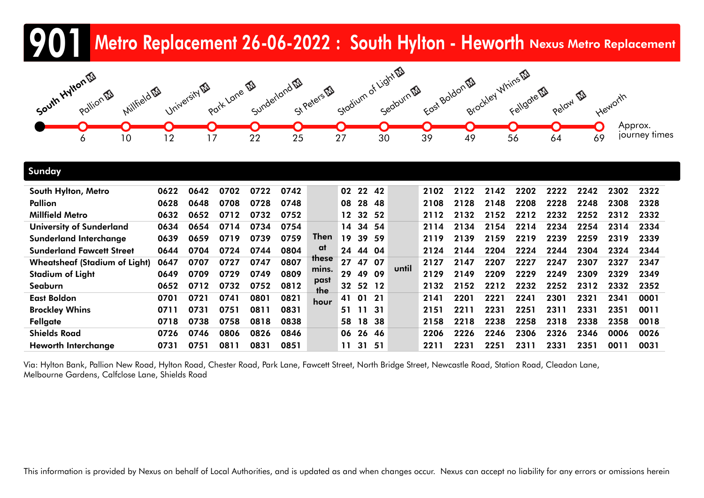## Metro Replacement 26-06-2022 : South Hylton - Heworth Nexus Metro Replacement



### **Sunday**

| 22<br>South Hylton, Metro<br>0742<br>02<br>42<br>0622<br>0702<br>2102<br>2202<br>2222<br>2242<br>2122<br>2142<br>2302<br>0642<br>0722                                    | 2322 |
|--------------------------------------------------------------------------------------------------------------------------------------------------------------------------|------|
|                                                                                                                                                                          |      |
| Pallion<br>28<br>0628<br>0708<br>0748<br>-48<br>2108<br>2208<br>2228<br>2248<br>0728<br>08<br>2128<br>2148<br>2308<br>0648                                               | 2328 |
| <b>Millfield Metro</b><br>32 52<br>0712<br>2232<br>0652<br>0732<br>0752<br>12<br>2112<br>2132<br>2152<br>2212<br>2252<br>2312<br>0632                                    | 2332 |
| 34 54<br><b>University of Sunderland</b><br>0714<br>0754<br>2134<br>2154<br>2214<br>2234<br>2254<br>0634<br>0654<br>0734<br>2314<br>14.<br>2114                          | 2334 |
| <b>Then</b><br>39<br>Sunderland Interchange<br>0759<br>0639<br>0719<br>0739<br>19<br>2139<br>2239<br>0659<br>59<br>2119<br>2159<br>2219<br>2259<br>2319                  | 2339 |
| at<br><b>Sunderland Fawcett Street</b><br>24<br>44 04<br>0724<br>0744<br>0804<br>2124<br>2224<br>2244<br>2304<br>0644<br>0704<br>2144<br>2204<br>2324                    | 2344 |
| these<br>27<br>47<br><b>Wheatsheaf (Stadium of Light)</b><br>0647<br>0747<br>0807<br>07<br>0707<br>0727<br>2127<br>2207<br>2227<br>2247<br>2307<br>2147<br>2327<br>until | 2347 |
| mins.<br>29<br><b>Stadium of Light</b><br>49<br>2129<br>2229<br>0709<br>0729<br>0749<br>2209<br>2249<br>2309<br>0649<br>0809<br>-09<br>2149<br>2329                      | 2349 |
| past<br>Seaburn<br>52 12<br>0732<br>32<br>2232<br>2252<br>0712<br>0752<br>0812<br>2132<br>2152<br>2212<br>2312<br>0652<br>2332<br>the                                    | 2352 |
| East Boldon<br>0741<br>0821<br>2201<br>2221<br>2241<br>2321<br>0721<br>0801<br>01<br>- 21<br>2141<br>2301<br>2341<br>0701<br>41<br>hour                                  | 0001 |
| <b>Brockley Whins</b><br>2251<br>0731<br>0751<br>0831<br>11<br>-31<br>2211<br>2231<br>2311<br>0811<br>51<br>2151<br>2331<br>2351<br>0711                                 | 0011 |
| Fellgate<br>2158<br>2238<br>0738<br>0758<br>0838<br>18<br>-38<br>2218<br>2258<br>2318<br>0818<br>58<br>2338<br>2358<br>0718                                              | 0018 |
| <b>Shields Road</b><br>26<br>2306<br>0746<br>0806<br>0826<br>0846<br>2206<br>2226<br>2246<br>2326<br>2346<br>0726<br>-46<br>0006<br>06                                   | 0026 |
| 31<br>2251<br>2311<br>Heworth Interchange<br>0751<br>0811<br>0831<br>0851<br>-51<br>2231<br>2331<br>2351<br>11<br>0011<br>0731<br>2211                                   | 0031 |

Via: Hylton Bank, Pallion New Road, Hylton Road, Chester Road, Park Lane, Fawcett Street, North Bridge Street, Newcastle Road, Station Road, Cleadon Lane, Melbourne Gardens, Calfclose Lane, Shields Road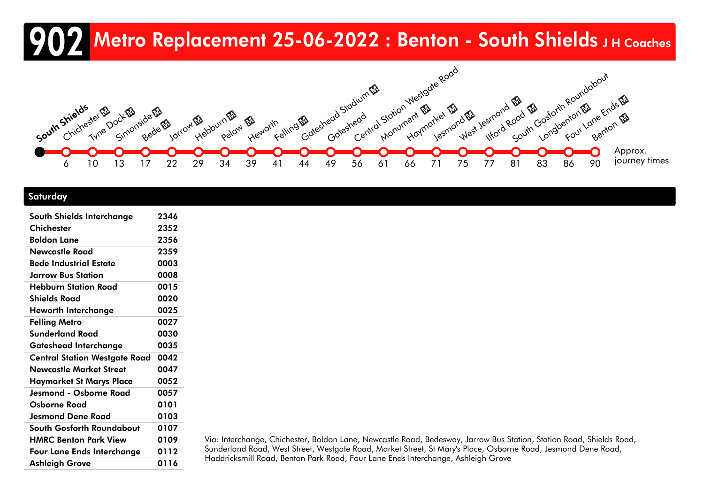## 902 Metro Replacement 25-06-2022 : Benton - South Shields J H Coaches



#### **Saturday**

| South Shields Interchange            | 2346 |
|--------------------------------------|------|
| Chichester                           | 2352 |
| <b>Boldon Lane</b>                   | 2356 |
| Newcastle Road                       | 2359 |
| <b>Bede Industrial Estate</b>        | 0003 |
| Jarrow Bus Station                   | 0008 |
| Hebburn Station Road                 | 0015 |
| Shields Road                         | 0020 |
| Heworth Interchange                  | 0025 |
| <b>Felling Metro</b>                 | 0027 |
| <b>Sunderland Road</b>               | 0030 |
| Gateshead Interchange                | 0035 |
| <b>Central Station Westgate Road</b> | 0042 |
| Newcastle Market Street              | 0047 |
| <b>Haymarket St Marys Place</b>      | 0052 |
| Jesmond - Osborne Road               | 0057 |
| Osborne Road                         | 0101 |
| Jesmond Dene Road                    | 0103 |
| South Gosforth Roundabout            | 0107 |
| <b>HMRC Benton Park View</b>         | 0109 |
| Four Lane Ends Interchange           | 0112 |
| <b>Ashleigh Grove</b>                | 0116 |

Via: Interchange, Chichester, Boldon Lane, Newcastle Road, Bedesway, Jarrow Bus Station, Station Road, Shields Road, Sunderland Road, West Street, Westgate Road, Market Street, St Mary's Place, Osborne Road, Jesmond Dene Road, Haddricksmill Road, Benton Park Road, Four Lane Ends Interchange, Ashleigh Grove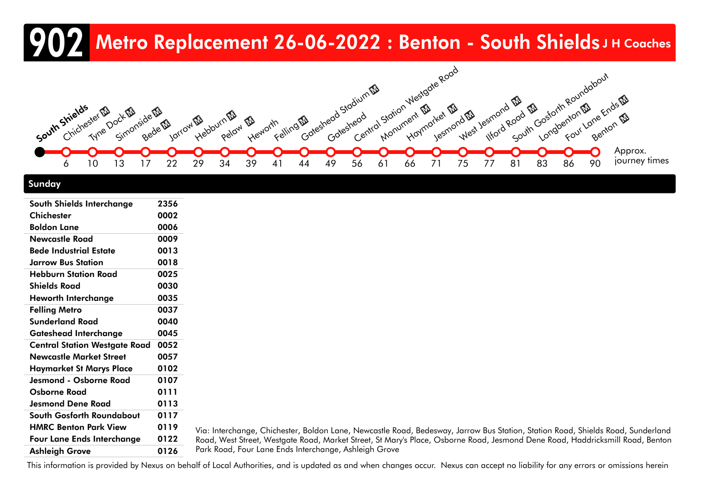# $\mathbf{902}$  Metro Replacement 26-06-2022 : Benton - South Shields J H Coaches



### Sunday

| South Shields Interchange            | 2356 |
|--------------------------------------|------|
| Chichester                           | 0002 |
| <b>Boldon Lane</b>                   | 0006 |
| Newcastle Road                       | 0009 |
| <b>Bede Industrial Estate</b>        | 0013 |
| Jarrow Bus Station                   | 0018 |
| Hebburn Station Road                 | 0025 |
| Shields Road                         | 0030 |
| <b>Heworth Interchange</b>           | 0035 |
| <b>Felling Metro</b>                 | 0037 |
| <b>Sunderland Road</b>               | 0040 |
| Gateshead Interchange                | 0045 |
| <b>Central Station Westgate Road</b> | 0052 |
| Newcastle Market Street              | 0057 |
| Haymarket St Marys Place             | 0102 |
| Jesmond - Osborne Road               | 0107 |
| Osborne Road                         | 0111 |
| Jesmond Dene Road                    | 0113 |
| South Gosforth Roundabout            | 0117 |
| <b>HMRC Benton Park View</b>         | 0119 |
| Four Lane Ends Interchange           | 0122 |
| <b>Ashleigh Grove</b>                | 0126 |

Via: Interchange, Chichester, Boldon Lane, Newcastle Road, Bedesway, Jarrow Bus Station, Station Road, Shields Road, Sunderland Road, West Street, Westgate Road, Market Street, St Mary's Place, Osborne Road, Jesmond Dene Road, Haddricksmill Road, Benton Park Road, Four Lane Ends Interchange, Ashleigh Grove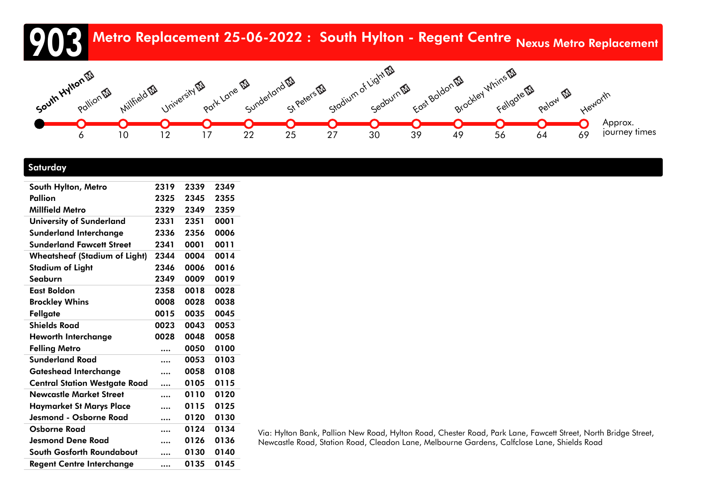### $\mathbf{903}$  Metro Replacement 25-06-2022 : South Hylton - Regent Centre Nexus Metro Replacement



### **Saturday**

| South Hylton, Metro                  | 2319     | 2339 | 2349 |
|--------------------------------------|----------|------|------|
| Pallion                              | 2325     | 2345 | 2355 |
| <b>Millfield Metro</b>               | 2329     | 2349 | 2359 |
| <b>University of Sunderland</b>      | 2331     | 2351 | 0001 |
| <b>Sunderland Interchange</b>        | 2336     | 2356 | 0006 |
| <b>Sunderland Fawcett Street</b>     | 2341     | 0001 | 0011 |
| <b>Wheatsheaf (Stadium of Light)</b> | 2344     | 0004 | 0014 |
| <b>Stadium of Light</b>              | 2346     | 0006 | 0016 |
| Seaburn                              | 2349     | 0009 | 0019 |
| <b>East Boldon</b>                   | 2358     | 0018 | 0028 |
| <b>Brockley Whins</b>                | 0008     | 0028 | 0038 |
| Fellgate                             | 0015     | 0035 | 0045 |
| <b>Shields Road</b>                  | 0023     | 0043 | 0053 |
| <b>Heworth Interchange</b>           | 0028     | 0048 | 0058 |
| <b>Felling Metro</b>                 |          | 0050 | 0100 |
| <b>Sunderland Road</b>               | $\cdots$ | 0053 | 0103 |
| Gateshead Interchange                |          | 0058 | 0108 |
| <b>Central Station Westgate Road</b> |          | 0105 | 0115 |
| <b>Newcastle Market Street</b>       | $\cdots$ | 0110 | 0120 |
| <b>Haymarket St Marys Place</b>      | $\cdots$ | 0115 | 0125 |
| Jesmond - Osborne Road               |          | 0120 | 0130 |
| Osborne Road                         | $\cdots$ | 0124 | 0134 |
| Jesmond Dene Road                    |          | 0126 | 0136 |
| South Gosforth Roundabout            | .        | 0130 | 0140 |
| Regent Centre Interchange            |          | 0135 | 0145 |

Via: Hylton Bank, Pallion New Road, Hylton Road, Chester Road, Park Lane, Fawcett Street, North Bridge Street, Newcastle Road, Station Road, Cleadon Lane, Melbourne Gardens, Calfclose Lane, Shields Road